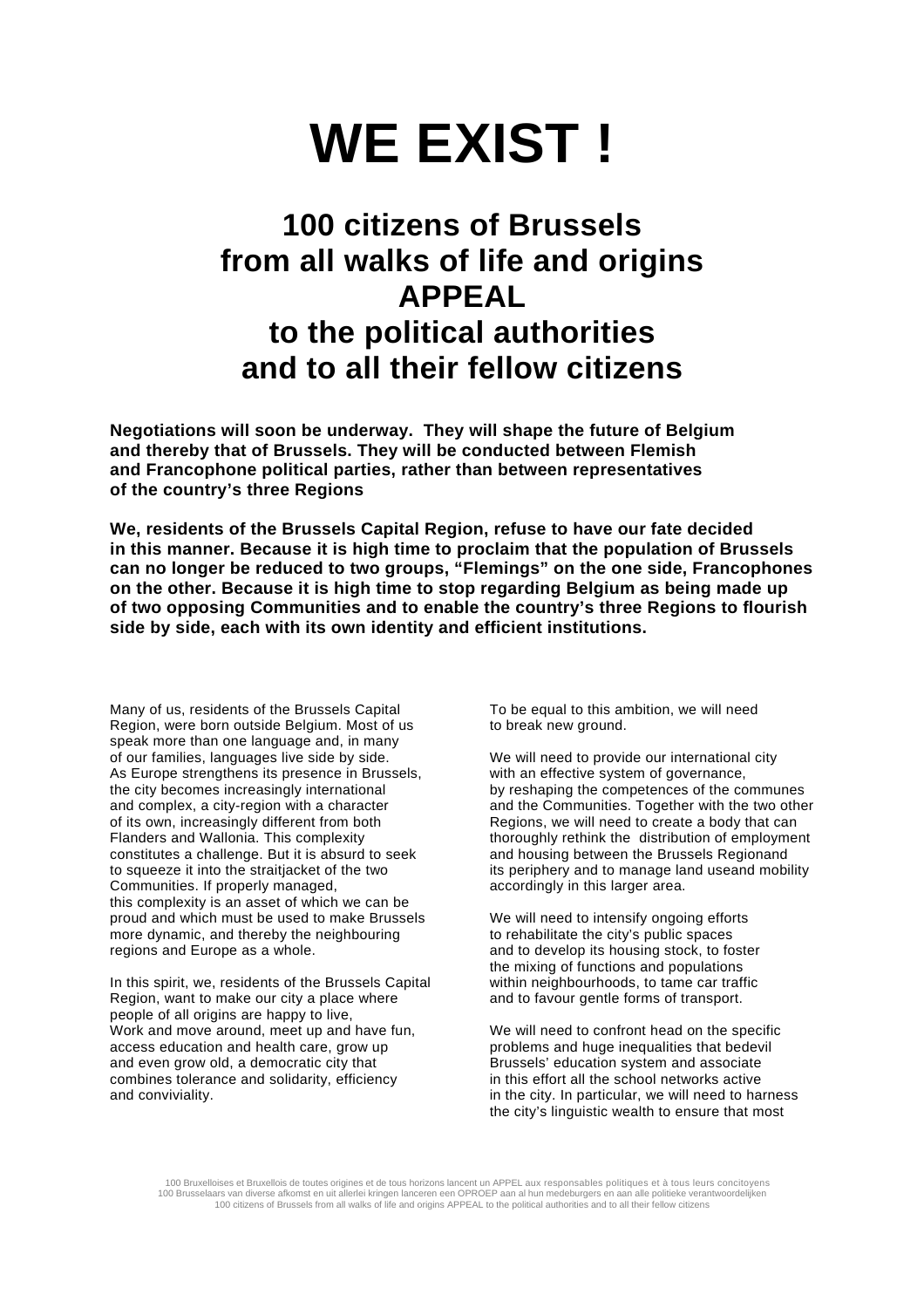## **WE EXIST !**

## **100 citizens of Brussels from all walks of life and origins APPEAL to the political authorities and to all their fellow citizens**

**Negotiations will soon be underway. They will shape the future of Belgium and thereby that of Brussels. They will be conducted between Flemish and Francophone political parties, rather than between representatives of the country's three Regions** 

**We, residents of the Brussels Capital Region, refuse to have our fate decided in this manner. Because it is high time to proclaim that the population of Brussels can no longer be reduced to two groups, "Flemings" on the one side, Francophones on the other. Because it is high time to stop regarding Belgium as being made up of two opposing Communities and to enable the country's three Regions to flourish side by side, each with its own identity and efficient institutions.** 

Many of us, residents of the Brussels Capital Region, were born outside Belgium. Most of us speak more than one language and, in many of our families, languages live side by side. As Europe strengthens its presence in Brussels, the city becomes increasingly international and complex, a city-region with a character of its own, increasingly different from both Flanders and Wallonia. This complexity constitutes a challenge. But it is absurd to seek to squeeze it into the straitjacket of the two Communities. If properly managed, this complexity is an asset of which we can be proud and which must be used to make Brussels more dynamic, and thereby the neighbouring regions and Europe as a whole.

In this spirit, we, residents of the Brussels Capital Region, want to make our city a place where people of all origins are happy to live, Work and move around, meet up and have fun, access education and health care, grow up and even grow old, a democratic city that combines tolerance and solidarity, efficiency and conviviality.

To be equal to this ambition, we will need to break new ground.

We will need to provide our international city with an effective system of governance, by reshaping the competences of the communes and the Communities. Together with the two other Regions, we will need to create a body that can thoroughly rethink the distribution of employment and housing between the Brussels Regionand its periphery and to manage land useand mobility accordingly in this larger area.

We will need to intensify ongoing efforts to rehabilitate the city's public spaces and to develop its housing stock, to foster the mixing of functions and populations within neighbourhoods, to tame car traffic and to favour gentle forms of transport.

We will need to confront head on the specific problems and huge inequalities that bedevil Brussels' education system and associate in this effort all the school networks active in the city. In particular, we will need to harness the city's linguistic wealth to ensure that most

100 Bruxelloises et Bruxellois de toutes origines et de tous horizons lancent un APPEL aux responsables politiques et à tous leurs concitoyens 100 Brusselaars van diverse afkomst en uit allerlei kringen lanceren een OPROEP aan al hun medeburgers en aan alle politieke verantwoordelijken<br>100 citizens of Brussels from all walks of life and origins APPEAL to the poli